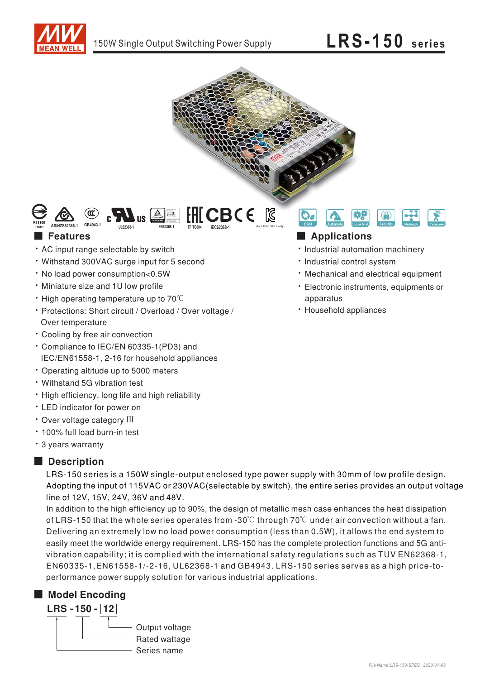



 $CBCE$ 

#### $\blacksquare$  Features

- AC input range selectable by switch
- Withstand 300VAC surge input for 5 second
- . No load power consumption<0.5W
- · Miniature size and 1U low profile
- $\cdot$  High operating temperature up to 70 $\degree$ C
- · Protections: Short circuit / Overload / Over voltage / Over temperature
- \* Cooling by free air convection
- \* Compliance to IEC/EN 60335-1(PD3) and IEC/EN61558-1, 2-16 for household appliances
- Operating altitude up to 5000 meters
- Withstand 5G vibration test
- . High efficiency, long life and high reliability
- LED indicator for power on
- · Over voltage category III
- · 100% full load burn-in test
- \* 3 years warranty

### Description

LRS-150 series is a 150W single-output enclosed type power supply with 30mm of low profile design. Adopting the input of 115VAC or 230VAC (selectable by switch), the entire series provides an output voltage line of 12V, 15V, 24V, 36V and 48V.

In addition to the high efficiency up to 90%, the design of metallic mesh case enhances the heat dissipation of LRS-150 that the whole series operates from -30 $\degree$  through 70 $\degree$ C under air convection without a fan. Delivering an extremely low no load power consumption (less than 0.5W), it allows the end system to easily meet the worldwide energy requirement. LRS-150 has the complete protection functions and 5G antivibration capability; it is complied with the international safety regulations such as TUV EN62368-1, EN60335-1, EN61558-1/-2-16, UL62368-1 and GB4943. LRS-150 series serves as a high price-toperformance power supply solution for various industrial applications.

### Model Encoding



### **Applications**

- · Industrial automation machinery
- · Industrial control system
- Mechanical and electrical equipment
- · Electronic instruments, equipments or apparatus
- · Household appliances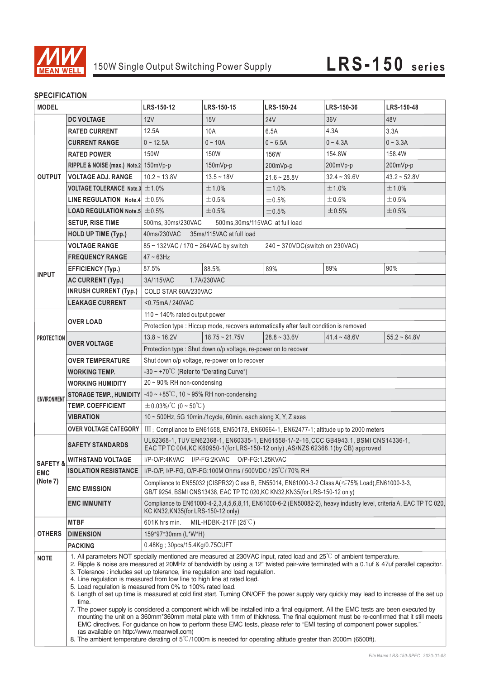

### **SPECIFICATION**

| ווטו ווטבווטו<br><b>MODEL</b>                 |                                                      | LRS-150-12                                                                                                                                                                                                                                                                                                                                                                                                                                                                                                                                                                                                                                                                                                                                                                                                                                                                                                                                                                                                                                                                                                                                                                               | LRS-150-15             | LRS-150-24     | LRS-150-36     | LRS-150-48     |  |
|-----------------------------------------------|------------------------------------------------------|------------------------------------------------------------------------------------------------------------------------------------------------------------------------------------------------------------------------------------------------------------------------------------------------------------------------------------------------------------------------------------------------------------------------------------------------------------------------------------------------------------------------------------------------------------------------------------------------------------------------------------------------------------------------------------------------------------------------------------------------------------------------------------------------------------------------------------------------------------------------------------------------------------------------------------------------------------------------------------------------------------------------------------------------------------------------------------------------------------------------------------------------------------------------------------------|------------------------|----------------|----------------|----------------|--|
|                                               | <b>DC VOLTAGE</b>                                    | 12V                                                                                                                                                                                                                                                                                                                                                                                                                                                                                                                                                                                                                                                                                                                                                                                                                                                                                                                                                                                                                                                                                                                                                                                      | 15V                    | <b>24V</b>     | 36V            | 48V            |  |
| <b>OUTPUT</b>                                 | <b>RATED CURRENT</b>                                 | 12.5A                                                                                                                                                                                                                                                                                                                                                                                                                                                                                                                                                                                                                                                                                                                                                                                                                                                                                                                                                                                                                                                                                                                                                                                    | 10A                    | 6.5A           | 4.3A           | 3.3A           |  |
|                                               | <b>CURRENT RANGE</b>                                 | $0 - 12.5A$                                                                                                                                                                                                                                                                                                                                                                                                                                                                                                                                                                                                                                                                                                                                                                                                                                                                                                                                                                                                                                                                                                                                                                              | $0 - 10A$              | $0 - 6.5A$     | $0 - 4.3A$     | $0 - 3.3A$     |  |
|                                               | <b>RATED POWER</b>                                   | 150W                                                                                                                                                                                                                                                                                                                                                                                                                                                                                                                                                                                                                                                                                                                                                                                                                                                                                                                                                                                                                                                                                                                                                                                     | 150W                   | 156W           | 154.8W         | 158.4W         |  |
|                                               | RIPPLE & NOISE (max.) Note.2 150mVp-p                |                                                                                                                                                                                                                                                                                                                                                                                                                                                                                                                                                                                                                                                                                                                                                                                                                                                                                                                                                                                                                                                                                                                                                                                          | 150mVp-p               | 200mVp-p       | 200mVp-p       | 200mVp-p       |  |
|                                               | <b>VOLTAGE ADJ. RANGE</b>                            | $10.2 - 13.8V$                                                                                                                                                                                                                                                                                                                                                                                                                                                                                                                                                                                                                                                                                                                                                                                                                                                                                                                                                                                                                                                                                                                                                                           | $13.5 - 18V$           | $21.6 - 28.8V$ | $32.4 - 39.6V$ | $43.2 - 52.8V$ |  |
|                                               | <b>VOLTAGE TOLERANCE Note.3</b> $\pm$ 1.0%           |                                                                                                                                                                                                                                                                                                                                                                                                                                                                                                                                                                                                                                                                                                                                                                                                                                                                                                                                                                                                                                                                                                                                                                                          | $±1.0\%$               | ±1.0%          | ±1.0%          | ±1.0%          |  |
|                                               | LINE REGULATION Note.4 $\pm$ 0.5%                    |                                                                                                                                                                                                                                                                                                                                                                                                                                                                                                                                                                                                                                                                                                                                                                                                                                                                                                                                                                                                                                                                                                                                                                                          | $\pm 0.5\%$            | ±0.5%          | ±0.5%          | ±0.5%          |  |
|                                               | <b>LOAD REGULATION Note.5 <math>\pm 0.5\%</math></b> |                                                                                                                                                                                                                                                                                                                                                                                                                                                                                                                                                                                                                                                                                                                                                                                                                                                                                                                                                                                                                                                                                                                                                                                          | ±0.5%                  | ±0.5%          | ±0.5%          | ±0.5%          |  |
|                                               | <b>SETUP, RISE TIME</b>                              | 500ms, 30ms/230VAC<br>500ms,30ms/115VAC at full load                                                                                                                                                                                                                                                                                                                                                                                                                                                                                                                                                                                                                                                                                                                                                                                                                                                                                                                                                                                                                                                                                                                                     |                        |                |                |                |  |
|                                               | <b>HOLD UP TIME (Typ.)</b>                           | 40ms/230VAC<br>35ms/115VAC at full load                                                                                                                                                                                                                                                                                                                                                                                                                                                                                                                                                                                                                                                                                                                                                                                                                                                                                                                                                                                                                                                                                                                                                  |                        |                |                |                |  |
|                                               | <b>VOLTAGE RANGE</b>                                 | 240 ~ 370VDC(switch on 230VAC)<br>85 ~ 132VAC / 170 ~ 264VAC by switch                                                                                                                                                                                                                                                                                                                                                                                                                                                                                                                                                                                                                                                                                                                                                                                                                                                                                                                                                                                                                                                                                                                   |                        |                |                |                |  |
|                                               | <b>FREQUENCY RANGE</b>                               | $47 - 63$ Hz                                                                                                                                                                                                                                                                                                                                                                                                                                                                                                                                                                                                                                                                                                                                                                                                                                                                                                                                                                                                                                                                                                                                                                             |                        |                |                |                |  |
| <b>INPUT</b>                                  | <b>EFFICIENCY (Typ.)</b>                             | 87.5%                                                                                                                                                                                                                                                                                                                                                                                                                                                                                                                                                                                                                                                                                                                                                                                                                                                                                                                                                                                                                                                                                                                                                                                    | 88.5%                  | 89%            | 89%            | 90%            |  |
|                                               | <b>AC CURRENT (Typ.)</b>                             | 3A/115VAC<br>1.7A/230VAC                                                                                                                                                                                                                                                                                                                                                                                                                                                                                                                                                                                                                                                                                                                                                                                                                                                                                                                                                                                                                                                                                                                                                                 |                        |                |                |                |  |
|                                               | <b>INRUSH CURRENT (Typ.)</b>                         | COLD STAR 60A/230VAC                                                                                                                                                                                                                                                                                                                                                                                                                                                                                                                                                                                                                                                                                                                                                                                                                                                                                                                                                                                                                                                                                                                                                                     |                        |                |                |                |  |
|                                               | <b>LEAKAGE CURRENT</b>                               | <0.75mA / 240VAC                                                                                                                                                                                                                                                                                                                                                                                                                                                                                                                                                                                                                                                                                                                                                                                                                                                                                                                                                                                                                                                                                                                                                                         |                        |                |                |                |  |
|                                               |                                                      | 110 $\sim$ 140% rated output power                                                                                                                                                                                                                                                                                                                                                                                                                                                                                                                                                                                                                                                                                                                                                                                                                                                                                                                                                                                                                                                                                                                                                       |                        |                |                |                |  |
|                                               | <b>OVER LOAD</b>                                     | Protection type : Hiccup mode, recovers automatically after fault condition is removed                                                                                                                                                                                                                                                                                                                                                                                                                                                                                                                                                                                                                                                                                                                                                                                                                                                                                                                                                                                                                                                                                                   |                        |                |                |                |  |
| <b>PROTECTION</b>                             |                                                      | $13.8 \sim 16.2V$                                                                                                                                                                                                                                                                                                                                                                                                                                                                                                                                                                                                                                                                                                                                                                                                                                                                                                                                                                                                                                                                                                                                                                        | $18.75 \approx 21.75V$ | $28.8 - 33.6V$ | $41.4 - 48.6V$ | $55.2 - 64.8V$ |  |
|                                               | <b>OVER VOLTAGE</b>                                  | Protection type: Shut down o/p voltage, re-power on to recover                                                                                                                                                                                                                                                                                                                                                                                                                                                                                                                                                                                                                                                                                                                                                                                                                                                                                                                                                                                                                                                                                                                           |                        |                |                |                |  |
|                                               | <b>OVER TEMPERATURE</b>                              | Shut down o/p voltage, re-power on to recover                                                                                                                                                                                                                                                                                                                                                                                                                                                                                                                                                                                                                                                                                                                                                                                                                                                                                                                                                                                                                                                                                                                                            |                        |                |                |                |  |
| <b>ENVIRONMENT</b>                            | <b>WORKING TEMP.</b>                                 | $-30 \sim +70^{\circ}$ (Refer to "Derating Curve")                                                                                                                                                                                                                                                                                                                                                                                                                                                                                                                                                                                                                                                                                                                                                                                                                                                                                                                                                                                                                                                                                                                                       |                        |                |                |                |  |
|                                               | <b>WORKING HUMIDITY</b>                              | $20 \sim 90\%$ RH non-condensing                                                                                                                                                                                                                                                                                                                                                                                                                                                                                                                                                                                                                                                                                                                                                                                                                                                                                                                                                                                                                                                                                                                                                         |                        |                |                |                |  |
|                                               | <b>STORAGE TEMP., HUMIDITY</b>                       | $-40 \sim +85^{\circ}$ C, 10 ~ 95% RH non-condensing                                                                                                                                                                                                                                                                                                                                                                                                                                                                                                                                                                                                                                                                                                                                                                                                                                                                                                                                                                                                                                                                                                                                     |                        |                |                |                |  |
|                                               | <b>TEMP. COEFFICIENT</b>                             | $\pm$ 0.03%/°C (0 ~ 50°C)                                                                                                                                                                                                                                                                                                                                                                                                                                                                                                                                                                                                                                                                                                                                                                                                                                                                                                                                                                                                                                                                                                                                                                |                        |                |                |                |  |
|                                               | <b>VIBRATION</b>                                     | $10 \sim 500$ Hz, 5G 10min./1cycle, 60min. each along X, Y, Z axes                                                                                                                                                                                                                                                                                                                                                                                                                                                                                                                                                                                                                                                                                                                                                                                                                                                                                                                                                                                                                                                                                                                       |                        |                |                |                |  |
|                                               | <b>OVER VOLTAGE CATEGORY</b>                         | III; Compliance to EN61558, EN50178, EN60664-1, EN62477-1; altitude up to 2000 meters                                                                                                                                                                                                                                                                                                                                                                                                                                                                                                                                                                                                                                                                                                                                                                                                                                                                                                                                                                                                                                                                                                    |                        |                |                |                |  |
| <b>SAFETY &amp;</b><br><b>EMC</b><br>(Note 7) | <b>SAFETY STANDARDS</b>                              | UL62368-1, TUV EN62368-1, EN60335-1, EN61558-1/-2-16, CCC GB4943, 1, BSMI CNS14336-1,<br>EAC TP TC 004, KC K60950-1(for LRS-150-12 only), AS/NZS 62368.1(by CB) approved                                                                                                                                                                                                                                                                                                                                                                                                                                                                                                                                                                                                                                                                                                                                                                                                                                                                                                                                                                                                                 |                        |                |                |                |  |
|                                               | <b>WITHSTAND VOLTAGE</b>                             | I/P-O/P:4KVAC I/P-FG:2KVAC O/P-FG:1.25KVAC                                                                                                                                                                                                                                                                                                                                                                                                                                                                                                                                                                                                                                                                                                                                                                                                                                                                                                                                                                                                                                                                                                                                               |                        |                |                |                |  |
|                                               | <b>ISOLATION RESISTANCE</b>                          | I/P-O/P, I/P-FG, O/P-FG:100M Ohms / 500VDC / 25°C/70% RH                                                                                                                                                                                                                                                                                                                                                                                                                                                                                                                                                                                                                                                                                                                                                                                                                                                                                                                                                                                                                                                                                                                                 |                        |                |                |                |  |
|                                               | <b>EMC EMISSION</b>                                  | Compliance to EN55032 (CISPR32) Class B, EN55014, EN61000-3-2 Class A(≤75% Load),EN61000-3-3,<br>GB/T 9254, BSMI CNS13438, EAC TP TC 020, KC KN32, KN35 (for LRS-150-12 only)                                                                                                                                                                                                                                                                                                                                                                                                                                                                                                                                                                                                                                                                                                                                                                                                                                                                                                                                                                                                            |                        |                |                |                |  |
|                                               | <b>EMC IMMUNITY</b>                                  | Compliance to EN61000-4-2,3,4,5,6,8,11, EN61000-6-2 (EN50082-2), heavy industry level, criteria A, EAC TP TC 020,<br>KC KN32, KN35(for LRS-150-12 only)                                                                                                                                                                                                                                                                                                                                                                                                                                                                                                                                                                                                                                                                                                                                                                                                                                                                                                                                                                                                                                  |                        |                |                |                |  |
| <b>OTHERS</b>                                 | <b>MTBF</b>                                          | 601K hrs min.<br>MIL-HDBK-217F $(25^{\circ}C)$                                                                                                                                                                                                                                                                                                                                                                                                                                                                                                                                                                                                                                                                                                                                                                                                                                                                                                                                                                                                                                                                                                                                           |                        |                |                |                |  |
|                                               | <b>DIMENSION</b>                                     | 159*97*30mm (L*W*H)                                                                                                                                                                                                                                                                                                                                                                                                                                                                                                                                                                                                                                                                                                                                                                                                                                                                                                                                                                                                                                                                                                                                                                      |                        |                |                |                |  |
|                                               | <b>PACKING</b>                                       | 0.48Kg; 30pcs/15.4Kg/0.75CUFT                                                                                                                                                                                                                                                                                                                                                                                                                                                                                                                                                                                                                                                                                                                                                                                                                                                                                                                                                                                                                                                                                                                                                            |                        |                |                |                |  |
| <b>NOTE</b>                                   | time.<br>(as available on http://www.meanwell.com)   | 1. All parameters NOT specially mentioned are measured at 230VAC input, rated load and $25^{\circ}$ C of ambient temperature.<br>2. Ripple & noise are measured at 20MHz of bandwidth by using a 12" twisted pair-wire terminated with a 0.1uf & 47uf parallel capacitor.<br>3. Tolerance: includes set up tolerance, line regulation and load regulation.<br>4. Line regulation is measured from low line to high line at rated load.<br>5. Load regulation is measured from 0% to 100% rated load.<br>6. Length of set up time is measured at cold first start. Turning ON/OFF the power supply very quickly may lead to increase of the set up<br>7. The power supply is considered a component which will be installed into a final equipment. All the EMC tests are been executed by<br>mounting the unit on a 360mm*360mm metal plate with 1mm of thickness. The final equipment must be re-confirmed that it still meets<br>EMC directives. For guidance on how to perform these EMC tests, please refer to "EMI testing of component power supplies."<br>8. The ambient temperature derating of $5^{\circ}$ /1000m is needed for operating altitude greater than 2000m (6500ft). |                        |                |                |                |  |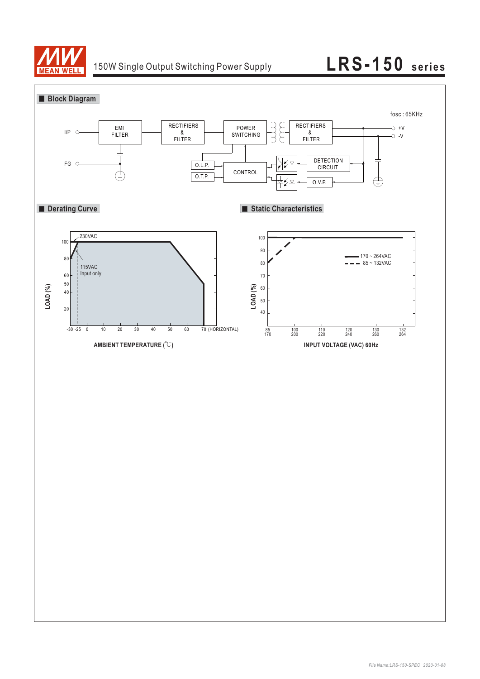

## 150W Single Output Switching Power Supply **LRS-150 series**